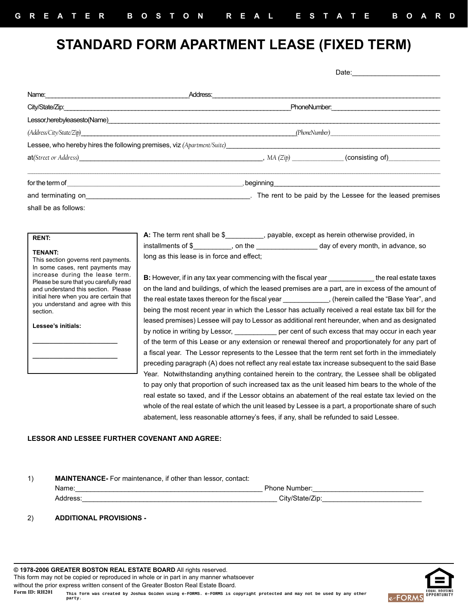# **Standard Form Apartment Lease (Fixed Term)**

| Name: 2008 2009 2010 2021 2022 2023 2024 2022 2022 2023 2024 2022 2023 2024 2022 2023 2024 2022 2023 2024 2022                                                                                                                   | Address: <u>__________</u> |               |                   |  |
|----------------------------------------------------------------------------------------------------------------------------------------------------------------------------------------------------------------------------------|----------------------------|---------------|-------------------|--|
| City/State/Zip: example and the contract of the contract of the contract of the contract of the contract of the contract of the contract of the contract of the contract of the contract of the contract of the contract of th   |                            |               | PhoneNumber: 2000 |  |
| Lessor, herebyleasesto (Name)<br>and the contract of the contract of the contract of the contract of the contract of the contract of the contract of the contract of the contract of the contract of the contract of the contrac |                            |               |                   |  |
| (Address/City/State(Zip))                                                                                                                                                                                                        |                            | (PhoneNumber) |                   |  |
| Lessee, who hereby hires the following premises, viz (Apartment/Suite) example and the state of the state of the state of the state of the state of the state of the state of the state of the state of the state of the state   |                            |               |                   |  |
| $\mathsf{at}(\text{Street or Address})$ (consisting of) (consisting of)                                                                                                                                                          |                            |               |                   |  |
|                                                                                                                                                                                                                                  |                            |               |                   |  |
| and terminating on and termination of the leased premises and termination of the leased premises and termination of the leased premises                                                                                          |                            |               |                   |  |
| shall be as follows:                                                                                                                                                                                                             |                            |               |                   |  |

#### **RENT:**

#### **TENANT:**

This section governs rent payments. In some cases, rent payments may increase during the lease term. Please be sure that you carefully read and understand this section. Please initial here when you are certain that you understand and agree with this section.

**\_\_\_\_\_\_\_\_\_\_\_\_\_\_\_\_\_\_\_\_\_\_\_\_\_ \_\_\_\_\_\_\_\_\_\_\_\_\_\_\_\_\_\_\_\_\_\_\_\_\_**

**Lessee's initials:**

**A:** The term rent shall be \$ payable, except as herein otherwise provided, in installments of \$\_\_\_\_\_\_\_\_\_\_, on the \_\_\_\_\_\_\_\_\_\_\_\_\_\_\_\_ day of every month, in advance, so long as this lease is in force and effect;

**B:** However, if in any tax year commencing with the fiscal year **with the real estate taxes** on the land and buildings, of which the leased premises are a part, are in excess of the amount of the real estate taxes thereon for the fiscal year \_\_\_\_\_\_\_\_\_\_\_, (herein called the "Base Year", and being the most recent year in which the Lessor has actually received a real estate tax bill for the leased premises) Lessee will pay to Lessor as additional rent hereunder, when and as designated by notice in writing by Lessor, except per cent of such excess that may occur in each year of the term of this Lease or any extension or renewal thereof and proportionately for any part of a fiscal year. The Lessor represents to the Lessee that the term rent set forth in the immediately preceding paragraph (A) does not reflect any real estate tax increase subsequent to the said Base Year. Notwithstanding anything contained herein to the contrary, the Lessee shall be obligated to pay only that proportion of such increased tax as the unit leased him bears to the whole of the real estate so taxed, and if the Lessor obtains an abatement of the real estate tax levied on the whole of the real estate of which the unit leased by Lessee is a part, a proportionate share of such abatement, less reasonable attorney's fees, if any, shall be refunded to said Lessee.

## **LESSOR AND LESSEE FURTHER COVENANT AND AGREE:**

|          | <b>MAINTENANCE-</b> For maintenance, if other than lessor, contact: |  |  |
|----------|---------------------------------------------------------------------|--|--|
| Name:    | Phone Number:                                                       |  |  |
| Address: | Citv/State/Zip:                                                     |  |  |

### 2) **ADDITIONAL PROVISIONS -**

**© 1978-2006 GREATER BOSTON REAL ESTATE BOARD** All rights reserved. This form may not be copied or reproduced in whole or in part in any manner whatsoever without the prior express written consent of the Greater Boston Real Estate Board. **Form ID: RH201 This form was created by Joshua Golden using e-FORMS. e-FORMS is copyright protected and may not be used by any other party.**

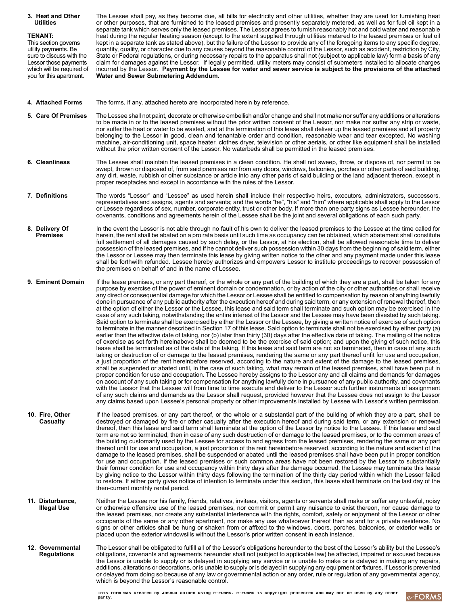| <b>Utilities</b><br><b>TENANT:</b><br>This section governs<br>utility payments. Be<br>sure to discuss with the<br>Lessor those payments<br>which will be required of<br>you for this apartment. | or other purposes, that are furnished to the leased premises and presently separately metered, as well as for fuel oil kept in a<br>separate tank which serves only the leased premises. The Lessor agrees to furnish reasonably hot and cold water and reasonable<br>heat during the regular heating season (except to the extent supplied through utilities metered to the leased premises or fuel oil<br>kept in a separate tank as stated above), but the failure of the Lessor to provide any of the foregoing items to any specific degree,<br>quantity, quality, or character due to any causes beyond the reasonable control of the Lessor, such as accident, restriction by City,<br>State or Federal regulations, or during necessary repairs to the apparatus shall not (subject to applicable law) form a basis of any<br>claim for damages against the Lessor. If legally permitted, utility meters may consist of submeters installed to allocate charges<br>incurred by the Lessor. Payment by the Lessee for water and sewer service is subject to the provisions of the attached<br>Water and Sewer Submetering Addendum.                                                                                                                                                                                                                                                                                                                                                                                                                                                                                                                                                                                                                                                                                                                                                                                                                                                                                                                                                                                                                                                                                                                                                                                                                                                                                                                                                                                                                                                                                 |  |
|-------------------------------------------------------------------------------------------------------------------------------------------------------------------------------------------------|----------------------------------------------------------------------------------------------------------------------------------------------------------------------------------------------------------------------------------------------------------------------------------------------------------------------------------------------------------------------------------------------------------------------------------------------------------------------------------------------------------------------------------------------------------------------------------------------------------------------------------------------------------------------------------------------------------------------------------------------------------------------------------------------------------------------------------------------------------------------------------------------------------------------------------------------------------------------------------------------------------------------------------------------------------------------------------------------------------------------------------------------------------------------------------------------------------------------------------------------------------------------------------------------------------------------------------------------------------------------------------------------------------------------------------------------------------------------------------------------------------------------------------------------------------------------------------------------------------------------------------------------------------------------------------------------------------------------------------------------------------------------------------------------------------------------------------------------------------------------------------------------------------------------------------------------------------------------------------------------------------------------------------------------------------------------------------------------------------------------------------------------------------------------------------------------------------------------------------------------------------------------------------------------------------------------------------------------------------------------------------------------------------------------------------------------------------------------------------------------------------------------------------------------------------------------------------------------------------------------------|--|
| 4. Attached Forms                                                                                                                                                                               | The forms, if any, attached hereto are incorporated herein by reference.                                                                                                                                                                                                                                                                                                                                                                                                                                                                                                                                                                                                                                                                                                                                                                                                                                                                                                                                                                                                                                                                                                                                                                                                                                                                                                                                                                                                                                                                                                                                                                                                                                                                                                                                                                                                                                                                                                                                                                                                                                                                                                                                                                                                                                                                                                                                                                                                                                                                                                                                                   |  |
| 5. Care Of Premises                                                                                                                                                                             | The Lessee shall not paint, decorate or otherwise embellish and/or change and shall not make nor suffer any additions or alterations<br>to be made in or to the leased premises without the prior written consent of the Lessor, nor make nor suffer any strip or waste,<br>nor suffer the heat or water to be wasted, and at the termination of this lease shall deliver up the leased premises and all property<br>belonging to the Lessor in good, clean and tenantable order and condition, reasonable wear and tear excepted. No washing<br>machine, air-conditioning unit, space heater, clothes dryer, television or other aerials, or other like equipment shall be installed<br>without the prior written consent of the Lessor. No waterbeds shall be permitted in the leased premises.                                                                                                                                                                                                                                                                                                                                                                                                                                                                                                                                                                                                                                                                                                                                                                                                                                                                                                                                                                                                                                                                                                                                                                                                                                                                                                                                                                                                                                                                                                                                                                                                                                                                                                                                                                                                                          |  |
| 6. Cleanliness                                                                                                                                                                                  | The Lessee shall maintain the leased premises in a clean condition. He shall not sweep, throw, or dispose of, nor permit to be<br>swept, thrown or disposed of, from said premises nor from any doors, windows, balconies, porches or other parts of said building,<br>any dirt, waste, rubbish or other substance or article into any other parts of said building or the land adjacent thereon, except in<br>proper receptacles and except in accordance with the rules of the Lessor.                                                                                                                                                                                                                                                                                                                                                                                                                                                                                                                                                                                                                                                                                                                                                                                                                                                                                                                                                                                                                                                                                                                                                                                                                                                                                                                                                                                                                                                                                                                                                                                                                                                                                                                                                                                                                                                                                                                                                                                                                                                                                                                                   |  |
| 7. Definitions                                                                                                                                                                                  | The words "Lessor" and "Lessee" as used herein shall include their respective heirs, executors, administrators, successors,<br>representatives and assigns, agents and servants; and the words "he", "his" and "him" where applicable shall apply to the Lessor<br>or Lessee regardless of sex, number, corporate entity, trust or other body. If more than one party signs as Lessee hereunder, the<br>covenants, conditions and agreements herein of the Lessee shall be the joint and several obligations of each such party.                                                                                                                                                                                                                                                                                                                                                                                                                                                                                                                                                                                                                                                                                                                                                                                                                                                                                                                                                                                                                                                                                                                                                                                                                                                                                                                                                                                                                                                                                                                                                                                                                                                                                                                                                                                                                                                                                                                                                                                                                                                                                           |  |
| 8. Delivery Of<br><b>Premises</b>                                                                                                                                                               | In the event the Lessor is not able through no fault of his own to deliver the leased premises to the Lessee at the time called for<br>herein, the rent shall be abated on a pro rata basis until such time as occupancy can be obtained, which abatement shall constitute<br>full settlement of all damages caused by such delay, or the Lessor, at his election, shall be allowed reasonable time to deliver<br>possession of the leased premises, and if he cannot deliver such possession within 30 days from the beginning of said term, either<br>the Lessor or Lessee may then terminate this lease by giving written notice to the other and any payment made under this lease<br>shall be forthwith refunded. Lessee hereby authorizes and empowers Lessor to institute proceedings to recover possession of<br>the premises on behalf of and in the name of Lessee.                                                                                                                                                                                                                                                                                                                                                                                                                                                                                                                                                                                                                                                                                                                                                                                                                                                                                                                                                                                                                                                                                                                                                                                                                                                                                                                                                                                                                                                                                                                                                                                                                                                                                                                                              |  |
| 9. Eminent Domain                                                                                                                                                                               | If the lease premises, or any part thereof, or the whole or any part of the building of which they are a part, shall be taken for any<br>purpose by exercise of the power of eminent domain or condemnation, or by action of the city or other authorities or shall receive<br>any direct or consequential damage for which the Lessor or Lessee shall be entitled to compensation by reason of anything lawfully<br>done in pursuance of any public authority after the execution hereof and during said term, or any extension of renewal thereof, then<br>at the option of either the Lessor or the Lessee, this lease and said term shall terminate and such option may be exercised in the<br>case of any such taking, notwithstanding the entire interest of the Lessor and the Lessee may have been divested by such taking.<br>Said option to terminate shall be exercised by either the Lessor or the Lessee, by giving a written notice of exercise of such option<br>to terminate in the manner described in Section 17 of this lease. Said option to terminate shall not be exercised by either party (a)<br>earlier than the effective date of taking, nor (b) later than thirty (30) days after the effective date of taking. The mailing of the notice<br>of exercise as set forth hereinabove shall be deemed to be the exercise of said option; and upon the giving of such notice, this<br>lease shall be terminated as of the date of the taking. If this lease and said term are not so terminated, then in case of any such<br>taking or destruction of or damage to the leased premises, rendering the same or any part thereof unfit for use and occupation,<br>a just proportion of the rent hereinbefore reserved, according to the nature and extent of the damage to the leased premises,<br>shall be suspended or abated until, in the case of such taking, what may remain of the leased premises, shall have been put in<br>proper condition for use and occupation. The Lessee hereby assigns to the Lessor any and all claims and demands for damages<br>on account of any such taking or for compensation for anything lawfully done in pursuance of any public authority, and covenants<br>with the Lessor that the Lessee will from time to time execute and deliver to the Lessor such further instruments of assignment<br>of any such claims and demands as the Lessor shall request, provided however that the Lessee does not assign to the Lessor<br>any claims based upon Lessee's personal property or other improvements installed by Lessee with Lessor's written permission. |  |
| 10. Fire, Other<br>Casualty                                                                                                                                                                     | If the leased premises, or any part thereof, or the whole or a substantial part of the building of which they are a part, shall be<br>destroyed or damaged by fire or other casualty after the execution hereof and during said term, or any extension or renewal<br>thereof, then this lease and said term shall terminate at the option of the Lessor by notice to the Lessee. If this lease and said<br>term are not so terminated, then in case of any such destruction of or damage to the leased premises, or to the common areas of<br>the building customarily used by the Lessee for access to and egress from the leased premises, rendering the same or any part<br>thereof unfit for use and occupation, a just proportion of the rent hereinbefore reserved, according to the nature and extent of the<br>damage to the leased premises, shall be suspended or abated until the leased premises shall have been put in proper condition<br>for use and occupation. If the leased premises or such common areas have not been restored by the Lessor to substantially<br>their former condition for use and occupancy within thirty days after the damage occurred, the Lessee may terminate this lease<br>by giving notice to the Lessor within thirty days following the termination of the thirty day period within which the Lessor failed<br>to restore. If either party gives notice of intention to terminate under this section, this lease shall terminate on the last day of the<br>then-current monthly rental period.                                                                                                                                                                                                                                                                                                                                                                                                                                                                                                                                                                                                                                                                                                                                                                                                                                                                                                                                                                                                                                                                              |  |
| 11. Disturbance,<br><b>Illegal Use</b>                                                                                                                                                          | Neither the Lessee nor his family, friends, relatives, invitees, visitors, agents or servants shall make or suffer any unlawful, noisy<br>or otherwise offensive use of the leased premises, nor commit or permit any nuisance to exist thereon, nor cause damage to<br>the leased premises, nor create any substantial interference with the rights, comfort, safety or enjoyment of the Lessor or other<br>occupants of the same or any other apartment, nor make any use whatsoever thereof than as and for a private residence. No<br>signs or other articles shall be hung or shaken from or affixed to the windows, doors, porches, balconies, or exterior walls or<br>placed upon the exterior windowsills without the Lessor's prior written consent in each instance.                                                                                                                                                                                                                                                                                                                                                                                                                                                                                                                                                                                                                                                                                                                                                                                                                                                                                                                                                                                                                                                                                                                                                                                                                                                                                                                                                                                                                                                                                                                                                                                                                                                                                                                                                                                                                                             |  |
| 12. Governmental<br><b>Regulations</b>                                                                                                                                                          | The Lessor shall be obligated to fulfill all of the Lessor's obligations hereunder to the best of the Lessor's ability but the Lessee's<br>obligations, covenants and agreements hereunder shall not (subject to applicable law) be affected, impaired or excused because<br>the Lessor is unable to supply or is delayed in supplying any service or is unable to make or is delayed in making any repairs,<br>additions, alterations or decorations, or is unable to supply or is delayed in supplying any equipment or fixtures, if Lessor is prevented<br>or delayed from doing so because of any law or governmental action or any order, rule or regulation of any governmental agency,<br>which is beyond the Lessor's reasonable control.                                                                                                                                                                                                                                                                                                                                                                                                                                                                                                                                                                                                                                                                                                                                                                                                                                                                                                                                                                                                                                                                                                                                                                                                                                                                                                                                                                                                                                                                                                                                                                                                                                                                                                                                                                                                                                                                          |  |

The Lessee shall pay, as they become due, all bills for electricity and other utilities, whether they are used for furnishing heat

**3. Heat and Other**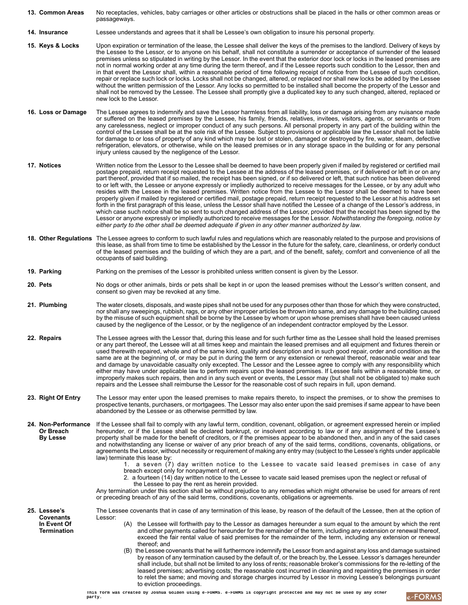No receptacles, vehicles, baby carriages or other articles or obstructions shall be placed in the halls or other common areas or passageways. Lessee understands and agrees that it shall be Lessee's own obligation to insure his personal property. Upon expiration or termination of the lease, the Lessee shall deliver the keys of the premises to the landlord. Delivery of keys by the Lessee to the Lessor, or to anyone on his behalf, shall not constitute a surrender or acceptance of surrender of the leased premises unless so stipulated in writing by the Lessor. In the event that the exterior door lock or locks in the leased premises are not in normal working order at any time during the term thereof, and if the Lessee reports such condition to the Lessor, then and in that event the Lessor shall, within a reasonable period of time following receipt of notice from the Lessee of such condition, repair or replace such lock or locks. Locks shall not be changed, altered, or replaced nor shall new locks be added by the Lessee without the written permission of the Lessor. Any locks so permitted to be installed shall become the property of the Lessor and shall not be removed by the Lessee. The Lessee shall promptly give a duplicated key to any such changed, altered, replaced or new lock to the Lessor. The Lessee agrees to indemnify and save the Lessor harmless from all liability, loss or damage arising from any nuisance made or suffered on the leased premises by the Lessee, his family, friends, relatives, invitees, visitors, agents, or servants or from any carelessness, neglect or improper conduct of any such persons. All personal property in any part of the building within the control of the Lessee shall be at the sole risk of the Lessee. Subject to provisions or applicable law the Lessor shall not be liable for damage to or loss of property of any kind which may be lost or stolen, damaged or destroyed by fire, water, steam, defective refrigeration, elevators, or otherwise, while on the leased premises or in any storage space in the building or for any personal injury unless caused by the negligence of the Lessor. Written notice from the Lessor to the Lessee shall be deemed to have been properly given if mailed by registered or certified mail postage prepaid, return receipt requested to the Lessee at the address of the leased premises, or if delivered or left in or on any part thereof, provided that if so mailed, the receipt has been signed, or if so delivered or left, that such notice has been delivered to or left with, the Lessee or anyone expressly or impliedly authorized to receive messages for the Lessee, or by any adult who resides with the Lessee in the leased premises. Written notice from the Lessee to the Lessor shall be deemed to have been properly given if mailed by registered or certified mail, postage prepaid, return receipt requested to the Lessor at his address set forth in the first paragraph of this lease, unless the Lessor shall have notified the Lessee of a change of the Lessor's address, in which case such notice shall be so sent to such changed address of the Lessor, provided that the receipt has been signed by the Lessor or anyone expressly or impliedly authorized to receive messages for the Lessor. *Notwithstanding the foregoing, notice by either party to the other shall be deemed adequate if given in any other manner authorized by law*. 18. Other Regulations The Lessee agrees to conform to such lawful rules and regulations which are reasonably related to the purpose and provisions of this lease, as shall from time to time be established by the Lessor in the future for the safety, care, cleanliness, or orderly conduct of the leased premises and the building of which they are a part, and of the benefit, safety, comfort and convenience of all the occupants of said building. Parking on the premises of the Lessor is prohibited unless written consent is given by the Lessor. No dogs or other animals, birds or pets shall be kept in or upon the leased premises without the Lessor's written consent, and consent so given may be revoked at any time. The water closets, disposals, and waste pipes shall not be used for any purposes other than those for which they were constructed, nor shall any sweepings, rubbish, rags, or any other improper articles be thrown into same, and any damage to the building caused by the misuse of such equipment shall be borne by the Lessee by whom or upon whose premises shall have been caused unless caused by the negligence of the Lessor, or by the negligence of an independent contractor employed by the Lessor. The Lessee agrees with the Lessor that, during this lease and for such further time as the Lessee shall hold the leased premises or any part thereof, the Lessee will at all times keep and maintain the leased premises and all equipment and fixtures therein or used therewith repaired, whole and of the same kind, quality and description and in such good repair, order and condition as the same are at the beginning of, or may be put in during the term or any extension or renewal thereof, reasonable wear and tear and damage by unavoidable casualty only excepted. The Lessor and the Lessee agree to comply with any responsibility which either may have under applicable law to perform repairs upon the leased premises. If Lessee fails within a reasonable time, or improperly makes such repairs, then and in any such event or events, the Lessor may (but shall not be obligated to) make such repairs and the Lessee shall reimburse the Lessor for the reasonable cost of such repairs in full, upon demand. The Lessor may enter upon the leased premises to make repairs thereto, to inspect the premises, or to show the premises to prospective tenants, purchasers, or mortgagees. The Lessor may also enter upon the said premises if same appear to have been abandoned by the Lessee or as otherwise permitted by law. If the Lessee shall fail to comply with any lawful term, condition, covenant, obligation, or agreement expressed herein or implied hereunder, or if the Lessee shall be declared bankrupt, or insolvent according to law or if any assignment of the Lessee's property shall be made for the benefit of creditors, or if the premises appear to be abandoned then, and in any of the said cases and notwithstanding any license or waiver of any prior breach of any of the said terms, conditions, covenants, obligations, or agreements the Lessor, without necessity or requirement of making any entry may (subject to the Lessee's rights under applicable law) terminate this lease by: 1. a seven (7) day written notice to the Lessee to vacate said leased premises in case of any breach except only for nonpayment of rent, or 2. a fourteen (14) day written notice to the Lessee to vacate said leased premises upon the neglect or refusal of the Lessee to pay the rent as herein provided. Any termination under this section shall be without prejudice to any remedies which might otherwise be used for arrears of rent or preceding breach of any of the said terms, conditions, covenants, obligations or agreements. The Lessee covenants that in case of any termination of this lease, by reason of the default of the Lessee, then at the option of Lessor: (A) the Lessee will forthwith pay to the Lessor as damages hereunder a sum equal to the amount by which the rent and other payments called for hereunder for the remainder of the term, including any extension or renewal thereof, exceed the fair rental value of said premises for the remainder of the term, including any extension or renewal thereof; and (B) the Lessee covenants that he will furthermore indemnify the Lessor from and against any loss and damage sustained by reason of any termination caused by the default of, or the breach by, the Lessee. Lessor's damages hereunder shall include, but shall not be limited to any loss of rents; reasonable broker's commissions for the re-letting of the leased premises; advertising costs; the reasonable cost incurred in cleaning and repainting the premises in order **13. Common Areas 14. Insurance 15. Keys & Locks 16. Loss or Damage 17. Notices 19. Parking 20. Pets 21. Plumbing 22. Repairs 23. Right Of Entry 24. Non-Performance Or Breach By Lesse 25. Lessee's Covenants In Event Of Termination**

to eviction proceedings.

to relet the same; and moving and storage charges incurred by Lessor in moving Lessee's belongings pursuant